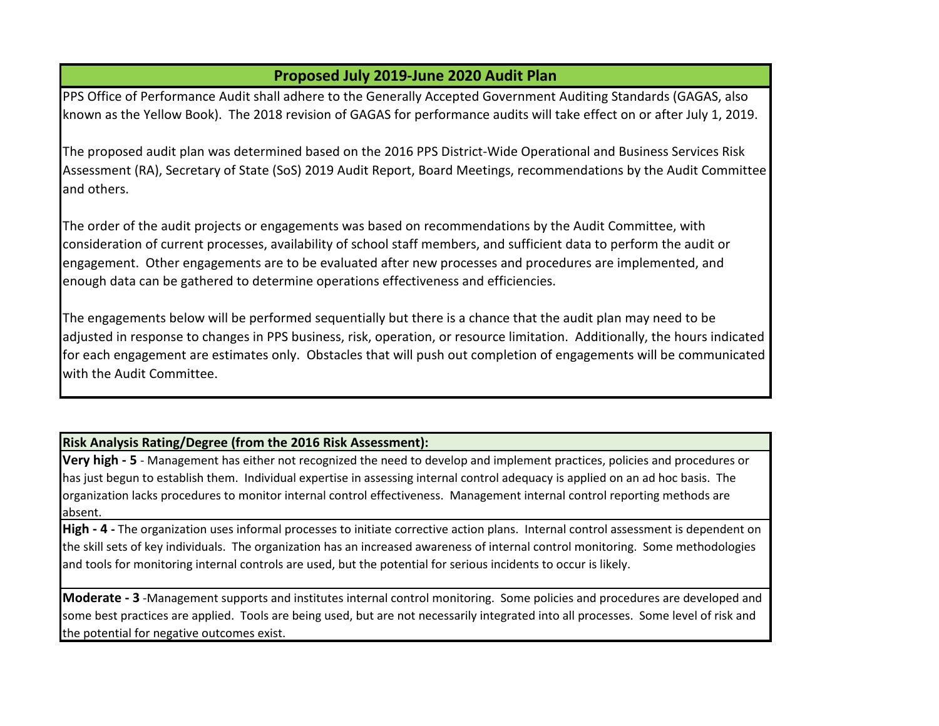## **Proposed July 2019-June 2020 Audit Plan**

PPS Office of Performance Audit shall adhere to the Generally Accepted Government Auditing Standards (GAGAS, also known as the Yellow Book). The 2018 revision of GAGAS for performance audits will take effect on or after July 1, 2019.

The proposed audit plan was determined based on the 2016 PPS District-Wide Operational and Business Services Risk Assessment (RA), Secretary of State (SoS) 2019 Audit Report, Board Meetings, recommendations by the Audit Committee and others.

The order of the audit projects or engagements was based on recommendations by the Audit Committee, with consideration of current processes, availability of school staff members, and sufficient data to perform the audit or engagement. Other engagements are to be evaluated after new processes and procedures are implemented, and enough data can be gathered to determine operations effectiveness and efficiencies.

The engagements below will be performed sequentially but there is a chance that the audit plan may need to be adjusted in response to changes in PPS business, risk, operation, or resource limitation. Additionally, the hours indicated for each engagement are estimates only. Obstacles that will push out completion of engagements will be communicated with the Audit Committee.

## **Risk Analysis Rating/Degree (from the 2016 Risk Assessment):**

**Very high - 5** - Management has either not recognized the need to develop and implement practices, policies and procedures or has just begun to establish them. Individual expertise in assessing internal control adequacy is applied on an ad hoc basis. The organization lacks procedures to monitor internal control effectiveness. Management internal control reporting methods are absent.

**High - 4 -** The organization uses informal processes to initiate corrective action plans. Internal control assessment is dependent on the skill sets of key individuals. The organization has an increased awareness of internal control monitoring. Some methodologies and tools for monitoring internal controls are used, but the potential for serious incidents to occur is likely.

**Moderate - 3** -Management supports and institutes internal control monitoring. Some policies and procedures are developed and some best practices are applied. Tools are being used, but are not necessarily integrated into all processes. Some level of risk and the potential for negative outcomes exist.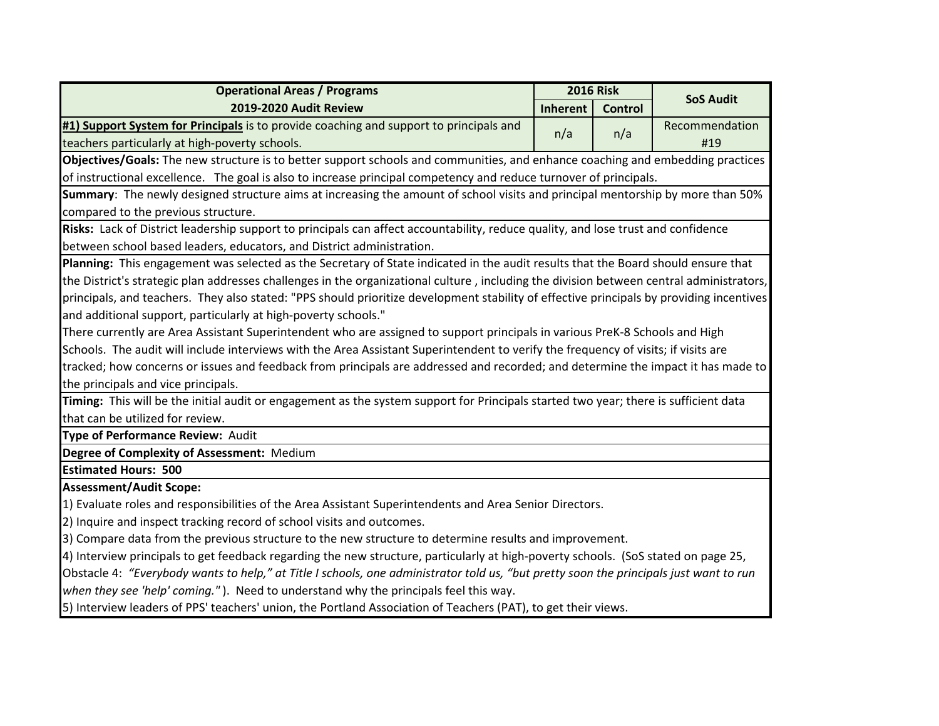|                                                                                                                                          | <b>2016 Risk</b> |                |                  |  |
|------------------------------------------------------------------------------------------------------------------------------------------|------------------|----------------|------------------|--|
| <b>Operational Areas / Programs</b>                                                                                                      |                  |                | <b>SoS Audit</b> |  |
| 2019-2020 Audit Review                                                                                                                   | <b>Inherent</b>  | <b>Control</b> |                  |  |
| #1) Support System for Principals is to provide coaching and support to principals and                                                   | n/a              | n/a            | Recommendation   |  |
| teachers particularly at high-poverty schools.                                                                                           |                  |                | #19              |  |
| Objectives/Goals: The new structure is to better support schools and communities, and enhance coaching and embedding practices           |                  |                |                  |  |
| of instructional excellence. The goal is also to increase principal competency and reduce turnover of principals.                        |                  |                |                  |  |
| Summary: The newly designed structure aims at increasing the amount of school visits and principal mentorship by more than 50%           |                  |                |                  |  |
| compared to the previous structure.                                                                                                      |                  |                |                  |  |
| Risks: Lack of District leadership support to principals can affect accountability, reduce quality, and lose trust and confidence        |                  |                |                  |  |
| between school based leaders, educators, and District administration.                                                                    |                  |                |                  |  |
| Planning: This engagement was selected as the Secretary of State indicated in the audit results that the Board should ensure that        |                  |                |                  |  |
| the District's strategic plan addresses challenges in the organizational culture, including the division between central administrators, |                  |                |                  |  |
| principals, and teachers. They also stated: "PPS should prioritize development stability of effective principals by providing incentives |                  |                |                  |  |
| and additional support, particularly at high-poverty schools."                                                                           |                  |                |                  |  |
| There currently are Area Assistant Superintendent who are assigned to support principals in various PreK-8 Schools and High              |                  |                |                  |  |
| Schools. The audit will include interviews with the Area Assistant Superintendent to verify the frequency of visits; if visits are       |                  |                |                  |  |
| tracked; how concerns or issues and feedback from principals are addressed and recorded; and determine the impact it has made to         |                  |                |                  |  |
| the principals and vice principals.                                                                                                      |                  |                |                  |  |
| Timing: This will be the initial audit or engagement as the system support for Principals started two year; there is sufficient data     |                  |                |                  |  |
| that can be utilized for review.                                                                                                         |                  |                |                  |  |
| Type of Performance Review: Audit                                                                                                        |                  |                |                  |  |
| Degree of Complexity of Assessment: Medium                                                                                               |                  |                |                  |  |
| <b>Estimated Hours: 500</b>                                                                                                              |                  |                |                  |  |
| <b>Assessment/Audit Scope:</b>                                                                                                           |                  |                |                  |  |
| 1) Evaluate roles and responsibilities of the Area Assistant Superintendents and Area Senior Directors.                                  |                  |                |                  |  |
| 2) Inquire and inspect tracking record of school visits and outcomes.                                                                    |                  |                |                  |  |
| 3) Compare data from the previous structure to the new structure to determine results and improvement.                                   |                  |                |                  |  |
| 4) Interview principals to get feedback regarding the new structure, particularly at high-poverty schools. (SoS stated on page 25,       |                  |                |                  |  |
| Obstacle 4: "Everybody wants to help," at Title I schools, one administrator told us, "but pretty soon the principals just want to run   |                  |                |                  |  |
| when they see 'help' coming."). Need to understand why the principals feel this way.                                                     |                  |                |                  |  |
| E) Interview leaders of DDC teachers' union the Dertland Association of Teachers (DAT) to get their views                                |                  |                |                  |  |

5) Interview leaders of PPS' teachers' union, the Portland Association of Teachers (PAT), to get their views.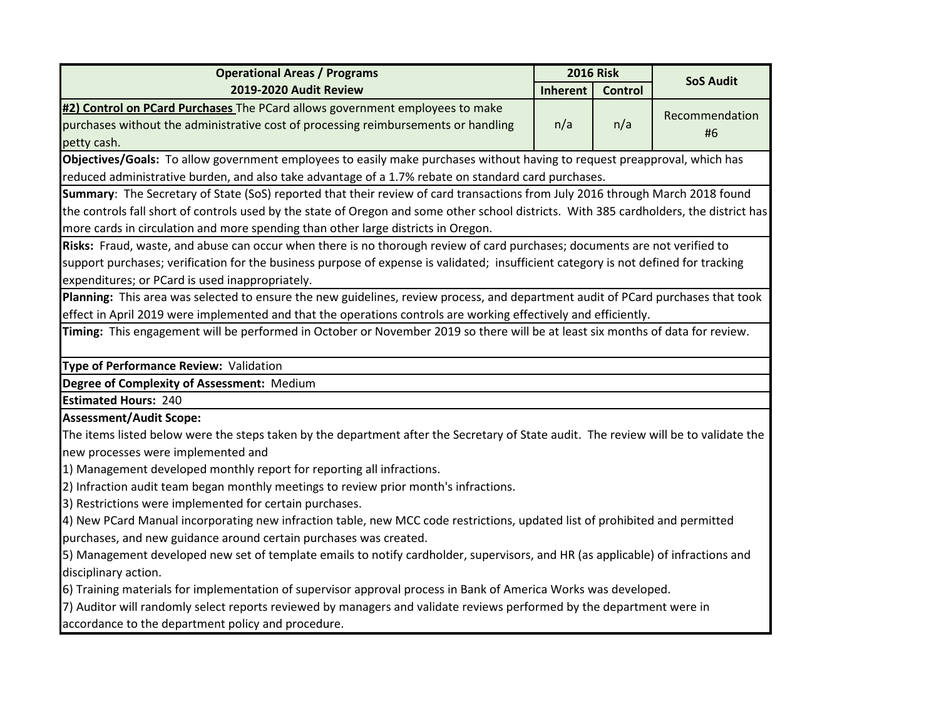| <b>Operational Areas / Programs</b>                                                                                                     | <b>2016 Risk</b>                                                                                    |                |                  |  |
|-----------------------------------------------------------------------------------------------------------------------------------------|-----------------------------------------------------------------------------------------------------|----------------|------------------|--|
| 2019-2020 Audit Review                                                                                                                  | Inherent                                                                                            | <b>Control</b> | <b>SoS Audit</b> |  |
| #2) Control on PCard Purchases The PCard allows government employees to make                                                            |                                                                                                     |                | Recommendation   |  |
| purchases without the administrative cost of processing reimbursements or handling                                                      | n/a                                                                                                 | n/a            | #6               |  |
| petty cash.                                                                                                                             |                                                                                                     |                |                  |  |
| Objectives/Goals: To allow government employees to easily make purchases without having to request preapproval, which has               |                                                                                                     |                |                  |  |
|                                                                                                                                         | reduced administrative burden, and also take advantage of a 1.7% rebate on standard card purchases. |                |                  |  |
| Summary: The Secretary of State (SoS) reported that their review of card transactions from July 2016 through March 2018 found           |                                                                                                     |                |                  |  |
| the controls fall short of controls used by the state of Oregon and some other school districts. With 385 cardholders, the district has |                                                                                                     |                |                  |  |
| more cards in circulation and more spending than other large districts in Oregon.                                                       |                                                                                                     |                |                  |  |
| Risks: Fraud, waste, and abuse can occur when there is no thorough review of card purchases; documents are not verified to              |                                                                                                     |                |                  |  |
| support purchases; verification for the business purpose of expense is validated; insufficient category is not defined for tracking     |                                                                                                     |                |                  |  |
| expenditures; or PCard is used inappropriately.                                                                                         |                                                                                                     |                |                  |  |
| Planning: This area was selected to ensure the new guidelines, review process, and department audit of PCard purchases that took        |                                                                                                     |                |                  |  |
| effect in April 2019 were implemented and that the operations controls are working effectively and efficiently.                         |                                                                                                     |                |                  |  |
| Timing: This engagement will be performed in October or November 2019 so there will be at least six months of data for review.          |                                                                                                     |                |                  |  |
| Type of Performance Review: Validation                                                                                                  |                                                                                                     |                |                  |  |
| Degree of Complexity of Assessment: Medium                                                                                              |                                                                                                     |                |                  |  |
| <b>Estimated Hours: 240</b>                                                                                                             |                                                                                                     |                |                  |  |
| <b>Assessment/Audit Scope:</b>                                                                                                          |                                                                                                     |                |                  |  |
| The items listed below were the steps taken by the department after the Secretary of State audit. The review will be to validate the    |                                                                                                     |                |                  |  |
| new processes were implemented and                                                                                                      |                                                                                                     |                |                  |  |
| 1) Management developed monthly report for reporting all infractions.                                                                   |                                                                                                     |                |                  |  |
| [2] Infraction audit team began monthly meetings to review prior month's infractions.                                                   |                                                                                                     |                |                  |  |
| 3) Restrictions were implemented for certain purchases.                                                                                 |                                                                                                     |                |                  |  |
| 4) New PCard Manual incorporating new infraction table, new MCC code restrictions, updated list of prohibited and permitted             |                                                                                                     |                |                  |  |
| purchases, and new guidance around certain purchases was created.                                                                       |                                                                                                     |                |                  |  |
| 5) Management developed new set of template emails to notify cardholder, supervisors, and HR (as applicable) of infractions and         |                                                                                                     |                |                  |  |
| disciplinary action.                                                                                                                    |                                                                                                     |                |                  |  |
| 6) Training materials for implementation of supervisor approval process in Bank of America Works was developed.                         |                                                                                                     |                |                  |  |
| 7) Auditor will randomly select reports reviewed by managers and validate reviews performed by the department were in                   |                                                                                                     |                |                  |  |
| accordance to the department policy and procedure.                                                                                      |                                                                                                     |                |                  |  |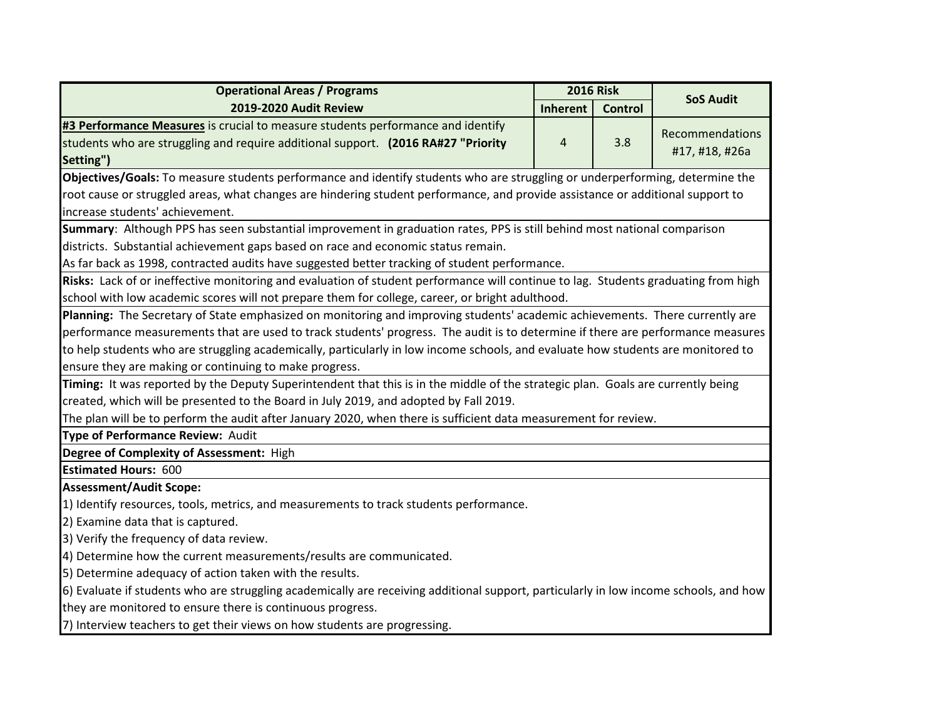| <b>Operational Areas / Programs</b>                                                                                                   | <b>2016 Risk</b> |                |                  |
|---------------------------------------------------------------------------------------------------------------------------------------|------------------|----------------|------------------|
| 2019-2020 Audit Review                                                                                                                | <b>Inherent</b>  | <b>Control</b> | <b>SoS Audit</b> |
| #3 Performance Measures is crucial to measure students performance and identify                                                       |                  |                |                  |
| students who are struggling and require additional support. (2016 RA#27 "Priority                                                     | 4                | 3.8            | Recommendations  |
| Setting")                                                                                                                             |                  |                | #17, #18, #26a   |
| Objectives/Goals: To measure students performance and identify students who are struggling or underperforming, determine the          |                  |                |                  |
| root cause or struggled areas, what changes are hindering student performance, and provide assistance or additional support to        |                  |                |                  |
| increase students' achievement.                                                                                                       |                  |                |                  |
| Summary: Although PPS has seen substantial improvement in graduation rates, PPS is still behind most national comparison              |                  |                |                  |
| districts. Substantial achievement gaps based on race and economic status remain.                                                     |                  |                |                  |
| As far back as 1998, contracted audits have suggested better tracking of student performance.                                         |                  |                |                  |
| Risks: Lack of or ineffective monitoring and evaluation of student performance will continue to lag. Students graduating from high    |                  |                |                  |
| school with low academic scores will not prepare them for college, career, or bright adulthood.                                       |                  |                |                  |
| Planning: The Secretary of State emphasized on monitoring and improving students' academic achievements. There currently are          |                  |                |                  |
| performance measurements that are used to track students' progress. The audit is to determine if there are performance measures       |                  |                |                  |
| to help students who are struggling academically, particularly in low income schools, and evaluate how students are monitored to      |                  |                |                  |
| ensure they are making or continuing to make progress.                                                                                |                  |                |                  |
| Timing: It was reported by the Deputy Superintendent that this is in the middle of the strategic plan. Goals are currently being      |                  |                |                  |
| created, which will be presented to the Board in July 2019, and adopted by Fall 2019.                                                 |                  |                |                  |
| The plan will be to perform the audit after January 2020, when there is sufficient data measurement for review.                       |                  |                |                  |
| Type of Performance Review: Audit                                                                                                     |                  |                |                  |
| Degree of Complexity of Assessment: High                                                                                              |                  |                |                  |
| <b>Estimated Hours: 600</b>                                                                                                           |                  |                |                  |
| <b>Assessment/Audit Scope:</b>                                                                                                        |                  |                |                  |
| 1) Identify resources, tools, metrics, and measurements to track students performance.                                                |                  |                |                  |
| 2) Examine data that is captured.                                                                                                     |                  |                |                  |
| 3) Verify the frequency of data review.                                                                                               |                  |                |                  |
| 4) Determine how the current measurements/results are communicated.                                                                   |                  |                |                  |
| 5) Determine adequacy of action taken with the results.                                                                               |                  |                |                  |
| 6) Evaluate if students who are struggling academically are receiving additional support, particularly in low income schools, and how |                  |                |                  |
| they are monitored to ensure there is continuous progress.                                                                            |                  |                |                  |
| 7) Interview teachers to get their views on how students are progressing.                                                             |                  |                |                  |